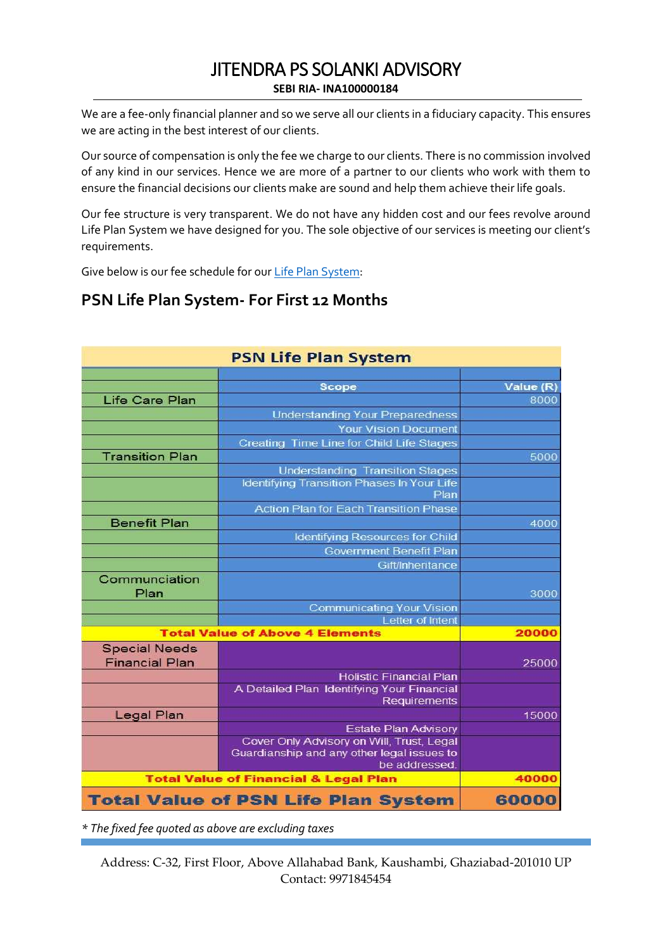We are a fee-only financial planner and so we serve all our clients in a fiduciary capacity. This ensures we are acting in the best interest of our clients.

Our source of compensation is only the fee we charge to our clients. There is no commission involved of any kind in our services. Hence we are more of a partner to our clients who work with them to ensure the financial decisions our clients make are sound and help them achieve their life goals.

Our fee structure is very transparent. We do not have any hidden cost and our fees revolve around Life Plan System we have designed for you. The sole objective of our services is meeting our client's requirements.

Give below is our fee schedule for our [Life Plan System:](https://planspecialneeds.com/psn-6-step-life-plan-system/)

# **PSN Life Plan System- For First 12 Months**

| <b>PSN Life Plan System</b>                      |                                                            |           |
|--------------------------------------------------|------------------------------------------------------------|-----------|
|                                                  |                                                            |           |
|                                                  | <b>Scope</b>                                               | Value (R) |
| <b>Life Care Plan</b>                            |                                                            | 8000      |
|                                                  | <b>Understanding Your Preparedness</b>                     |           |
|                                                  | <b>Your Vision Document</b>                                |           |
|                                                  | Creating Time Line for Child Life Stages                   |           |
| <b>Transition Plan</b>                           |                                                            | 5000      |
|                                                  | <b>Understanding Transition Stages</b>                     |           |
|                                                  | <b>Identifying Transition Phases In Your Life</b><br>Plan  |           |
|                                                  | <b>Action Plan for Each Transition Phase</b>               |           |
| <b>Benefit Plan</b>                              |                                                            | 4000      |
|                                                  | <b>Identifying Resources for Child</b>                     |           |
|                                                  | <b>Government Benefit Plan</b>                             |           |
|                                                  | Gift/Inheritance                                           |           |
| Communciation<br>Plan                            |                                                            | 3000      |
|                                                  | <b>Communicating Your Vision</b>                           |           |
|                                                  | Letter of Intent                                           |           |
| <b>Total Value of Above 4 Elements</b>           |                                                            | 20000     |
| <b>Special Needs</b><br><b>Financial Plan</b>    |                                                            | 25000     |
|                                                  | <b>Holistic Financial Plan</b>                             |           |
|                                                  | A Detailed Plan Identifying Your Financial<br>Requirements |           |
| Legal Plan                                       |                                                            | 15000     |
|                                                  | <b>Estate Plan Advisory</b>                                |           |
|                                                  | Cover Only Advisory on Will, Trust, Legal                  |           |
|                                                  | Guardianship and any other legal issues to                 |           |
|                                                  | be addressed                                               |           |
| <b>Total Value of Financial &amp; Legal Plan</b> |                                                            | 40000     |
| <b>Total Value of PSN Life Plan System</b>       |                                                            | 60000     |

*\* The fixed fee quoted as above are excluding taxes*

Address: C-32, First Floor, Above Allahabad Bank, Kaushambi, Ghaziabad-201010 UP Contact: 9971845454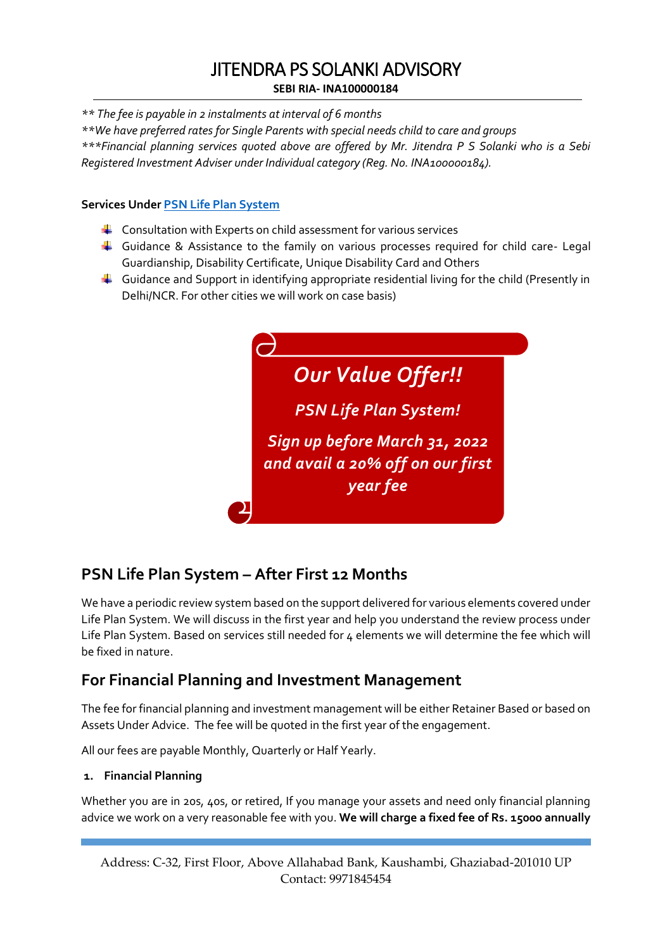*\*\* The fee is payable in 2 instalments at interval of 6 months*

*\*\*We have preferred rates for Single Parents with special needs child to care and groups \*\*\*Financial planning services quoted above are offered by Mr. Jitendra P S Solanki who is a Sebi Registered Investment Adviser under Individual category (Reg. No. INA100000184).* 

### **Services Under [PSN Life Plan System](https://planspecialneeds.com/psn-6-step-life-plan-system/)**

- $\downarrow$  Consultation with Experts on child assessment for various services
- Guidance & Assistance to the family on various processes required for child care- Legal Guardianship, Disability Certificate, Unique Disability Card and Others
- $\ddot{\phantom{1}}$  Guidance and Support in identifying appropriate residential living for the child (Presently in Delhi/NCR. For other cities we will work on case basis)



# **PSN Life Plan System – After First 12 Months**

We have a periodic review system based on the support delivered for various elements covered under Life Plan System. We will discuss in the first year and help you understand the review process under Life Plan System. Based on services still needed for 4 elements we will determine the fee which will be fixed in nature.

# **For Financial Planning and Investment Management**

The fee for financial planning and investment management will be either Retainer Based or based on Assets Under Advice. The fee will be quoted in the first year of the engagement.

All our fees are payable Monthly, Quarterly or Half Yearly.

### **1. Financial Planning**

Whether you are in 20s, 40s, or retired, If you manage your assets and need only financial planning advice we work on a very reasonable fee with you. **We will charge a fixed fee of Rs. 15000 annually**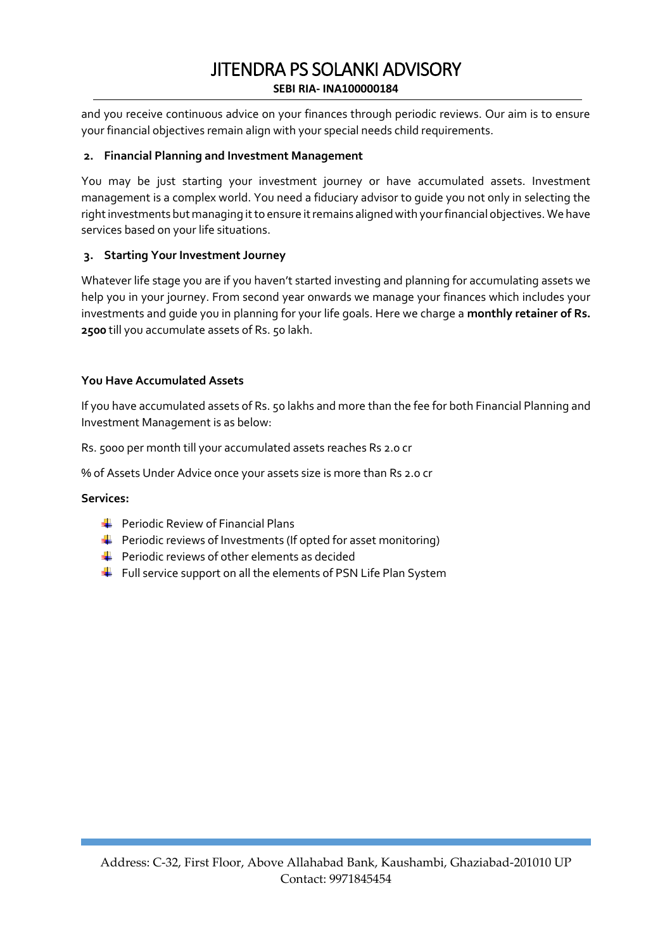and you receive continuous advice on your finances through periodic reviews. Our aim is to ensure your financial objectives remain align with your special needs child requirements.

### **2. Financial Planning and Investment Management**

You may be just starting your investment journey or have accumulated assets. Investment management is a complex world. You need a fiduciary advisor to guide you not only in selecting the right investments but managing it to ensure it remains aligned with your financial objectives. We have services based on your life situations.

### **3. Starting Your Investment Journey**

Whatever life stage you are if you haven't started investing and planning for accumulating assets we help you in your journey. From second year onwards we manage your finances which includes your investments and guide you in planning for your life goals. Here we charge a **monthly retainer of Rs. 2500** till you accumulate assets of Rs. 50 lakh.

### **You Have Accumulated Assets**

If you have accumulated assets of Rs. 50 lakhs and more than the fee for both Financial Planning and Investment Management is as below:

Rs. 5000 per month till your accumulated assets reaches Rs 2.0 cr

% of Assets Under Advice once your assets size is more than Rs 2.0 cr

### **Services:**

- $\leftarrow$  Periodic Review of Financial Plans
- $\ddot{+}$  Periodic reviews of Investments (If opted for asset monitoring)
- $\leftarrow$  Periodic reviews of other elements as decided
- $\ddot{\phantom{1}}$  Full service support on all the elements of PSN Life Plan System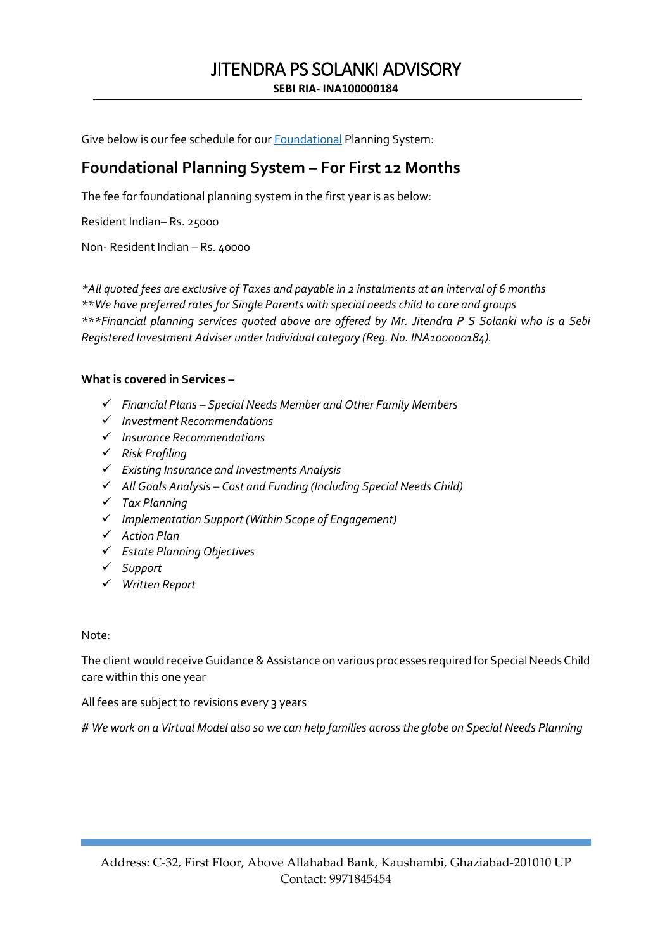Give below is our fee schedule for our **Foundational Planning System**:

# **Foundational Planning System – For First 12 Months**

The fee for foundational planning system in the first year is as below:

Resident Indian– Rs. 25000

Non- Resident Indian – Rs. 40000

*\*All quoted fees are exclusive of Taxes and payable in 2 instalments at an interval of 6 months \*\*We have preferred rates for Single Parents with special needs child to care and groups \*\*\*Financial planning services quoted above are offered by Mr. Jitendra P S Solanki who is a Sebi Registered Investment Adviser under Individual category (Reg. No. INA100000184).* 

### **What is covered in Services –**

- *Financial Plans – Special Needs Member and Other Family Members*
- *Investment Recommendations*
- *Insurance Recommendations*
- *Risk Profiling*
- *Existing Insurance and Investments Analysis*
- *All Goals Analysis – Cost and Funding (Including Special Needs Child)*
- *Tax Planning*
- *Implementation Support (Within Scope of Engagement)*
- *Action Plan*
- *Estate Planning Objectives*
- *Support*
- *Written Report*

### Note:

The client would receive Guidance & Assistance on various processes required for Special Needs Child care within this one year

All fees are subject to revisions every 3 years

*# We work on a Virtual Model also so we can help families across the globe on Special Needs Planning*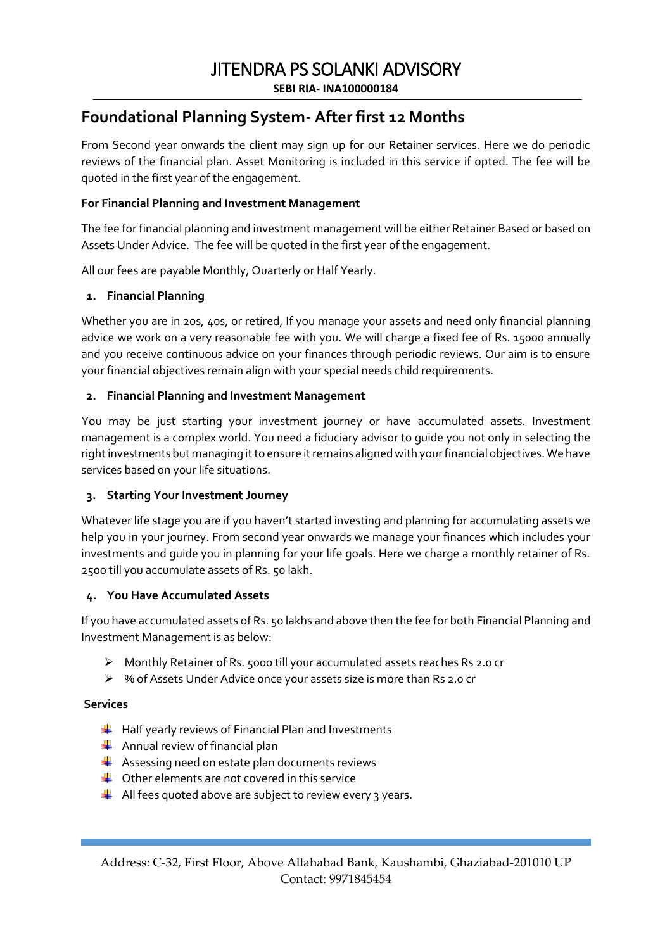# JITENDRA PS SOLANKI ADVISORY

**SEBI RIA- INA100000184**

### **Foundational Planning System- After first 12 Months**

From Second year onwards the client may sign up for our Retainer services. Here we do periodic reviews of the financial plan. Asset Monitoring is included in this service if opted. The fee will be quoted in the first year of the engagement.

### **For Financial Planning and Investment Management**

The fee for financial planning and investment management will be either Retainer Based or based on Assets Under Advice. The fee will be quoted in the first year of the engagement.

All our fees are payable Monthly, Quarterly or Half Yearly.

### **1. Financial Planning**

Whether you are in 20s, 40s, or retired, If you manage your assets and need only financial planning advice we work on a very reasonable fee with you. We will charge a fixed fee of Rs. 15000 annually and you receive continuous advice on your finances through periodic reviews. Our aim is to ensure your financial objectives remain align with your special needs child requirements.

### **2. Financial Planning and Investment Management**

You may be just starting your investment journey or have accumulated assets. Investment management is a complex world. You need a fiduciary advisor to guide you not only in selecting the right investments but managing it to ensure it remains aligned with your financial objectives. We have services based on your life situations.

### **3. Starting Your Investment Journey**

Whatever life stage you are if you haven't started investing and planning for accumulating assets we help you in your journey. From second year onwards we manage your finances which includes your investments and guide you in planning for your life goals. Here we charge a monthly retainer of Rs. 2500 till you accumulate assets of Rs. 50 lakh.

### **4. You Have Accumulated Assets**

If you have accumulated assets of Rs. 50 lakhs and above then the fee for both Financial Planning and Investment Management is as below:

- Monthly Retainer of Rs. 5000 till your accumulated assets reaches Rs 2.0 cr
- % of Assets Under Advice once your assets size is more than Rs 2.0 cr

### **Services**

- $\frac{1}{2}$  Half yearly reviews of Financial Plan and Investments
- $\leftarrow$  Annual review of financial plan
- $\frac{1}{2}$  Assessing need on estate plan documents reviews
- $\bigstar$  Other elements are not covered in this service
- $\frac{1}{2}$  All fees quoted above are subject to review every 3 years.